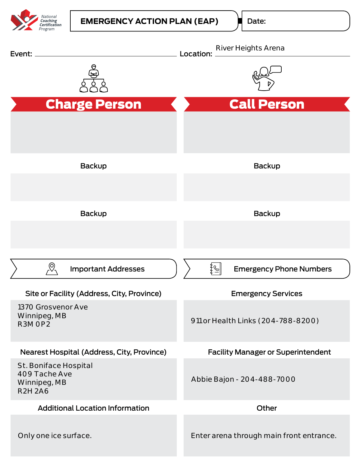

Date: